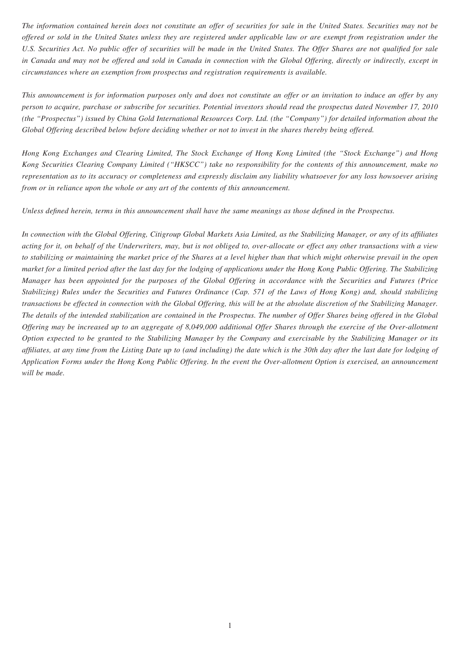*The information contained herein does not constitute an offer of securities for sale in the United States. Securities may not be offered or sold in the United States unless they are registered under applicable law or are exempt from registration under the*  U.S. Securities Act. No public offer of securities will be made in the United States. The Offer Shares are not qualified for sale *in Canada and may not be offered and sold in Canada in connection with the Global Offering, directly or indirectly, except in circumstances where an exemption from prospectus and registration requirements is available.*

*This announcement is for information purposes only and does not constitute an offer or an invitation to induce an offer by any person to acquire, purchase or subscribe for securities. Potential investors should read the prospectus dated November 17, 2010 (the "Prospectus") issued by China Gold International Resources Corp. Ltd. (the "Company") for detailed information about the Global Offering described below before deciding whether or not to invest in the shares thereby being offered.*

*Hong Kong Exchanges and Clearing Limited, The Stock Exchange of Hong Kong Limited (the "Stock Exchange") and Hong Kong Securities Clearing Company Limited ("HKSCC") take no responsibility for the contents of this announcement, make no representation as to its accuracy or completeness and expressly disclaim any liability whatsoever for any loss howsoever arising from or in reliance upon the whole or any art of the contents of this announcement.*

*Unless defined herein, terms in this announcement shall have the same meanings as those defined in the Prospectus.* 

In connection with the Global Offering, Citigroup Global Markets Asia Limited, as the Stabilizing Manager, or any of its affiliates *acting for it, on behalf of the Underwriters, may, but is not obliged to, over-allocate or effect any other transactions with a view to stabilizing or maintaining the market price of the Shares at a level higher than that which might otherwise prevail in the open market for a limited period after the last day for the lodging of applications under the Hong Kong Public Offering. The Stabilizing Manager has been appointed for the purposes of the Global Offering in accordance with the Securities and Futures (Price Stabilizing) Rules under the Securities and Futures Ordinance (Cap. 571 of the Laws of Hong Kong) and, should stabilizing transactions be effected in connection with the Global Offering, this will be at the absolute discretion of the Stabilizing Manager. The details of the intended stabilization are contained in the Prospectus. The number of Offer Shares being offered in the Global Offering may be increased up to an aggregate of 8,049,000 additional Offer Shares through the exercise of the Over-allotment Option expected to be granted to the Stabilizing Manager by the Company and exercisable by the Stabilizing Manager or its affi liates, at any time from the Listing Date up to (and including) the date which is the 30th day after the last date for lodging of Application Forms under the Hong Kong Public Offering. In the event the Over-allotment Option is exercised, an announcement will be made.*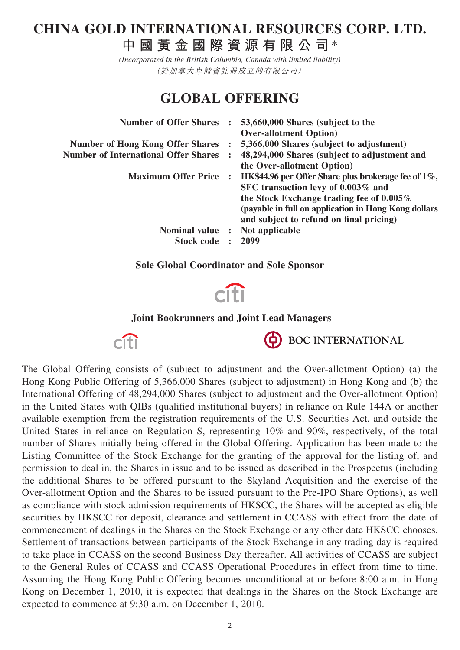## **CHINA GOLD INTERNATIONAL RESOURCES CORP. LTD.**

**中國黃金國際資源有限公司**\*

*(Incorporated in the British Columbia, Canada with limited liability)* (於加拿大卑詩省註冊成立的有限公司)

# **GLOBAL OFFERING**

| <b>Number of Offer Shares :</b>               | 53,660,000 Shares (subject to the                    |
|-----------------------------------------------|------------------------------------------------------|
|                                               | <b>Over-allotment Option</b> )                       |
| <b>Number of Hong Kong Offer Shares :</b>     | 5,366,000 Shares (subject to adjustment)             |
| <b>Number of International Offer Shares :</b> | 48,294,000 Shares (subject to adjustment and         |
|                                               | the Over-allotment Option)                           |
| <b>Maximum Offer Price:</b>                   | HK\$44.96 per Offer Share plus brokerage fee of 1%,  |
|                                               | SFC transaction levy of 0.003% and                   |
|                                               | the Stock Exchange trading fee of $0.005\%$          |
|                                               | (payable in full on application in Hong Kong dollars |
|                                               | and subject to refund on final pricing)              |
| <b>Nominal value</b>                          | Not applicable                                       |
| <b>Stock code</b>                             | 2099                                                 |
|                                               |                                                      |

#### **Sole Global Coordinator and Sole Sponsor**



### **Joint Bookrunners and Joint Lead Managers**



**(c)** BOC INTERNATIONAL

The Global Offering consists of (subject to adjustment and the Over-allotment Option) (a) the Hong Kong Public Offering of 5,366,000 Shares (subject to adjustment) in Hong Kong and (b) the International Offering of 48,294,000 Shares (subject to adjustment and the Over-allotment Option) in the United States with QIBs (qualified institutional buyers) in reliance on Rule 144A or another available exemption from the registration requirements of the U.S. Securities Act, and outside the United States in reliance on Regulation S, representing 10% and 90%, respectively, of the total number of Shares initially being offered in the Global Offering. Application has been made to the Listing Committee of the Stock Exchange for the granting of the approval for the listing of, and permission to deal in, the Shares in issue and to be issued as described in the Prospectus (including the additional Shares to be offered pursuant to the Skyland Acquisition and the exercise of the Over-allotment Option and the Shares to be issued pursuant to the Pre-IPO Share Options), as well as compliance with stock admission requirements of HKSCC, the Shares will be accepted as eligible securities by HKSCC for deposit, clearance and settlement in CCASS with effect from the date of commencement of dealings in the Shares on the Stock Exchange or any other date HKSCC chooses. Settlement of transactions between participants of the Stock Exchange in any trading day is required to take place in CCASS on the second Business Day thereafter. All activities of CCASS are subject to the General Rules of CCASS and CCASS Operational Procedures in effect from time to time. Assuming the Hong Kong Public Offering becomes unconditional at or before 8:00 a.m. in Hong Kong on December 1, 2010, it is expected that dealings in the Shares on the Stock Exchange are expected to commence at 9:30 a.m. on December 1, 2010.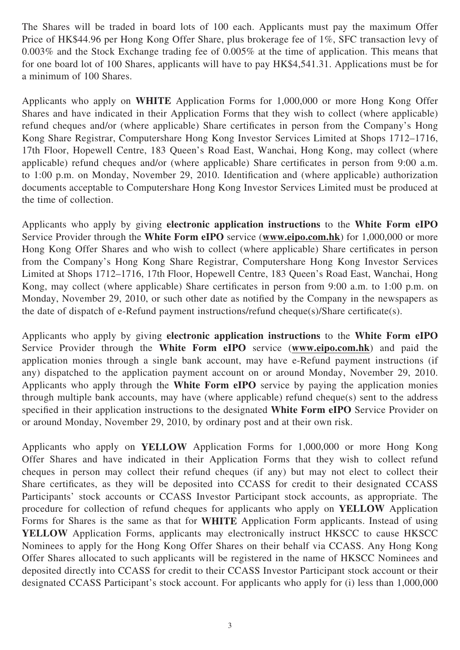The Shares will be traded in board lots of 100 each. Applicants must pay the maximum Offer Price of HK\$44.96 per Hong Kong Offer Share, plus brokerage fee of 1%, SFC transaction levy of 0.003% and the Stock Exchange trading fee of 0.005% at the time of application. This means that for one board lot of 100 Shares, applicants will have to pay HK\$4,541.31. Applications must be for a minimum of 100 Shares.

Applicants who apply on **WHITE** Application Forms for 1,000,000 or more Hong Kong Offer Shares and have indicated in their Application Forms that they wish to collect (where applicable) refund cheques and/or (where applicable) Share certificates in person from the Company's Hong Kong Share Registrar, Computershare Hong Kong Investor Services Limited at Shops 1712–1716, 17th Floor, Hopewell Centre, 183 Queen's Road East, Wanchai, Hong Kong, may collect (where applicable) refund cheques and/or (where applicable) Share certificates in person from 9:00 a.m. to 1:00 p.m. on Monday, November 29, 2010. Identification and (where applicable) authorization documents acceptable to Computershare Hong Kong Investor Services Limited must be produced at the time of collection.

Applicants who apply by giving **electronic application instructions** to the **White Form eIPO** Service Provider through the **White Form eIPO** service (**www.eipo.com.hk**) for 1,000,000 or more Hong Kong Offer Shares and who wish to collect (where applicable) Share certificates in person from the Company's Hong Kong Share Registrar, Computershare Hong Kong Investor Services Limited at Shops 1712–1716, 17th Floor, Hopewell Centre, 183 Queen's Road East, Wanchai, Hong Kong, may collect (where applicable) Share certificates in person from 9:00 a.m. to 1:00 p.m. on Monday, November 29, 2010, or such other date as notified by the Company in the newspapers as the date of dispatch of e-Refund payment instructions/refund cheque(s)/Share certificate(s).

Applicants who apply by giving **electronic application instructions** to the **White Form eIPO** Service Provider through the **White Form eIPO** service (**www.eipo.com.hk**) and paid the application monies through a single bank account, may have e-Refund payment instructions (if any) dispatched to the application payment account on or around Monday, November 29, 2010. Applicants who apply through the **White Form eIPO** service by paying the application monies through multiple bank accounts, may have (where applicable) refund cheque(s) sent to the address specified in their application instructions to the designated **White Form eIPO** Service Provider on or around Monday, November 29, 2010, by ordinary post and at their own risk.

Applicants who apply on **YELLOW** Application Forms for 1,000,000 or more Hong Kong Offer Shares and have indicated in their Application Forms that they wish to collect refund cheques in person may collect their refund cheques (if any) but may not elect to collect their Share certificates, as they will be deposited into CCASS for credit to their designated CCASS Participants' stock accounts or CCASS Investor Participant stock accounts, as appropriate. The procedure for collection of refund cheques for applicants who apply on **YELLOW** Application Forms for Shares is the same as that for **WHITE** Application Form applicants. Instead of using **YELLOW** Application Forms, applicants may electronically instruct HKSCC to cause HKSCC Nominees to apply for the Hong Kong Offer Shares on their behalf via CCASS. Any Hong Kong Offer Shares allocated to such applicants will be registered in the name of HKSCC Nominees and deposited directly into CCASS for credit to their CCASS Investor Participant stock account or their designated CCASS Participant's stock account. For applicants who apply for (i) less than 1,000,000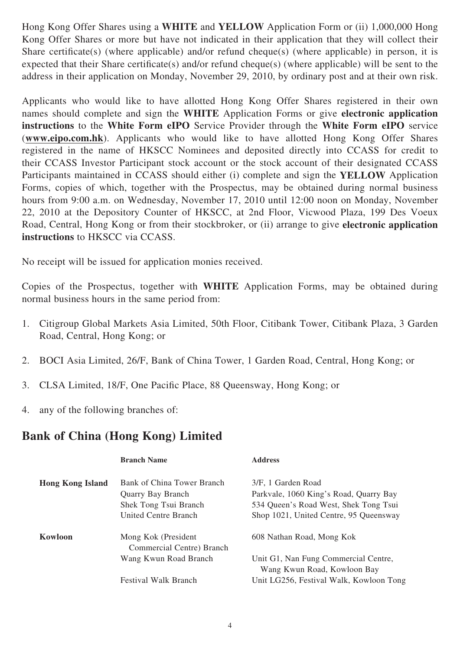Hong Kong Offer Shares using a **WHITE** and **YELLOW** Application Form or (ii) 1,000,000 Hong Kong Offer Shares or more but have not indicated in their application that they will collect their Share certificate(s) (where applicable) and/or refund cheque(s) (where applicable) in person, it is expected that their Share certificate(s) and/or refund cheque(s) (where applicable) will be sent to the address in their application on Monday, November 29, 2010, by ordinary post and at their own risk.

Applicants who would like to have allotted Hong Kong Offer Shares registered in their own names should complete and sign the **WHITE** Application Forms or give **electronic application instructions** to the **White Form eIPO** Service Provider through the **White Form eIPO** service (**www.eipo.com.hk**). Applicants who would like to have allotted Hong Kong Offer Shares registered in the name of HKSCC Nominees and deposited directly into CCASS for credit to their CCASS Investor Participant stock account or the stock account of their designated CCASS Participants maintained in CCASS should either (i) complete and sign the **YELLOW** Application Forms, copies of which, together with the Prospectus, may be obtained during normal business hours from 9:00 a.m. on Wednesday, November 17, 2010 until 12:00 noon on Monday, November 22, 2010 at the Depository Counter of HKSCC, at 2nd Floor, Vicwood Plaza, 199 Des Voeux Road, Central, Hong Kong or from their stockbroker, or (ii) arrange to give **electronic application instructions** to HKSCC via CCASS.

No receipt will be issued for application monies received.

Copies of the Prospectus, together with **WHITE** Application Forms, may be obtained during normal business hours in the same period from:

- 1. Citigroup Global Markets Asia Limited, 50th Floor, Citibank Tower, Citibank Plaza, 3 Garden Road, Central, Hong Kong; or
- 2. BOCI Asia Limited, 26/F, Bank of China Tower, 1 Garden Road, Central, Hong Kong; or
- 3. CLSA Limited, 18/F, One Pacific Place, 88 Oueensway, Hong Kong; or
- 4. any of the following branches of:

### **Bank of China (Hong Kong) Limited**

| <b>Branch Name</b>                               | <b>Address</b>                                                      |
|--------------------------------------------------|---------------------------------------------------------------------|
| Bank of China Tower Branch                       | 3/F, 1 Garden Road                                                  |
| Quarry Bay Branch                                | Parkvale, 1060 King's Road, Quarry Bay                              |
| Shek Tong Tsui Branch                            | 534 Queen's Road West, Shek Tong Tsui                               |
| United Centre Branch                             | Shop 1021, United Centre, 95 Queensway                              |
| Mong Kok (President<br>Commercial Centre) Branch | 608 Nathan Road, Mong Kok                                           |
| Wang Kwun Road Branch                            | Unit G1, Nan Fung Commercial Centre,<br>Wang Kwun Road, Kowloon Bay |
| <b>Festival Walk Branch</b>                      | Unit LG256, Festival Walk, Kowloon Tong                             |
|                                                  |                                                                     |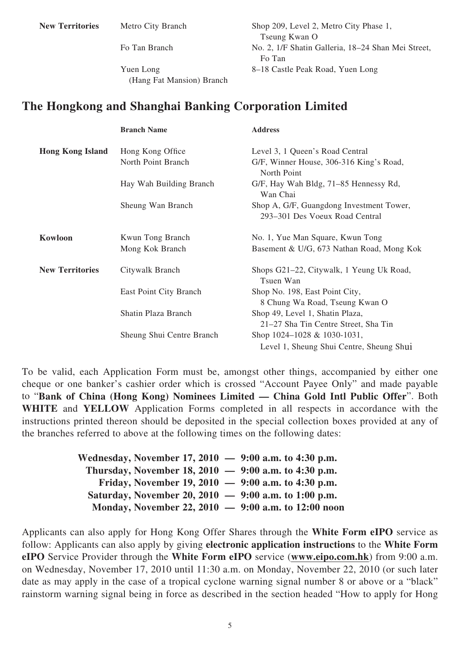**New Territories** Metro City Branch Shop 209, Level 2, Metro City Phase 1,

(Hang Fat Mansion) Branch

 Tseung Kwan O Fo Tan Branch No. 2, 1/F Shatin Galleria, 18–24 Shan Mei Street, Fo Tan Yuen Long 8–18 Castle Peak Road, Yuen Long

## **The Hongkong and Shanghai Banking Corporation Limited**

|                         | <b>Branch Name</b>        | <b>Address</b>                                                                   |
|-------------------------|---------------------------|----------------------------------------------------------------------------------|
| <b>Hong Kong Island</b> | Hong Kong Office          | Level 3, 1 Queen's Road Central                                                  |
|                         | North Point Branch        | G/F, Winner House, 306-316 King's Road,<br>North Point                           |
|                         | Hay Wah Building Branch   | G/F, Hay Wah Bldg, 71–85 Hennessy Rd,<br>Wan Chai                                |
|                         | Sheung Wan Branch         | Shop A, G/F, Guangdong Investment Tower,<br>293–301 Des Voeux Road Central       |
| Kowloon                 | Kwun Tong Branch          | No. 1, Yue Man Square, Kwun Tong                                                 |
|                         | Mong Kok Branch           | Basement & U/G, 673 Nathan Road, Mong Kok                                        |
| <b>New Territories</b>  | Citywalk Branch           | Shops G21-22, Citywalk, 1 Yeung Uk Road,<br>Tsuen Wan                            |
|                         | East Point City Branch    | Shop No. 198, East Point City,<br>8 Chung Wa Road, Tseung Kwan O                 |
|                         | Shatin Plaza Branch       | Shop 49, Level 1, Shatin Plaza,<br>21-27 Sha Tin Centre Street, Sha Tin          |
|                         | Sheung Shui Centre Branch | Shop $1024 - 1028$ & $1030 - 1031$ ,<br>Level 1, Sheung Shui Centre, Sheung Shui |

To be valid, each Application Form must be, amongst other things, accompanied by either one cheque or one banker's cashier order which is crossed "Account Payee Only" and made payable to "**Bank of China (Hong Kong) Nominees Limited — China Gold Intl Public Offer**". Both **WHITE** and **YELLOW** Application Forms completed in all respects in accordance with the instructions printed thereon should be deposited in the special collection boxes provided at any of the branches referred to above at the following times on the following dates:

| Wednesday, November 17, 2010 $-$ 9:00 a.m. to 4:30 p.m. |  |
|---------------------------------------------------------|--|
| Thursday, November 18, 2010 $-$ 9:00 a.m. to 4:30 p.m.  |  |
| Friday, November 19, 2010 $-$ 9:00 a.m. to 4:30 p.m.    |  |
| Saturday, November 20, 2010 $-$ 9:00 a.m. to 1:00 p.m.  |  |
| Monday, November 22, $2010 - 9:00$ a.m. to 12:00 noon   |  |

Applicants can also apply for Hong Kong Offer Shares through the **White Form eIPO** service as follow: Applicants can also apply by giving **electronic application instructions** to the **White Form eIPO** Service Provider through the **White Form eIPO** service (**www.eipo.com.hk**) from 9:00 a.m. on Wednesday, November 17, 2010 until 11:30 a.m. on Monday, November 22, 2010 (or such later date as may apply in the case of a tropical cyclone warning signal number 8 or above or a "black" rainstorm warning signal being in force as described in the section headed "How to apply for Hong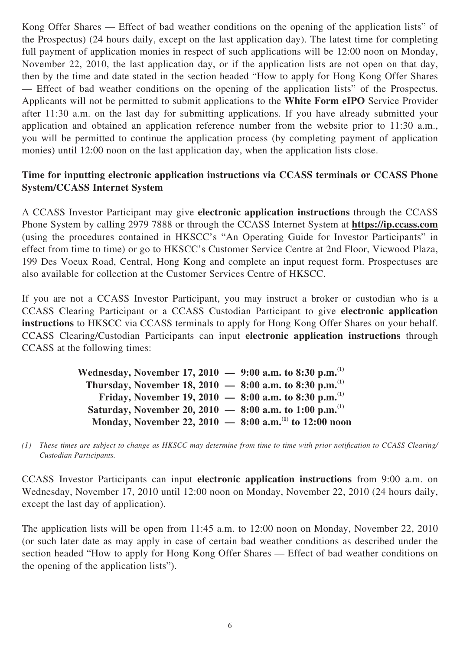Kong Offer Shares — Effect of bad weather conditions on the opening of the application lists" of the Prospectus) (24 hours daily, except on the last application day). The latest time for completing full payment of application monies in respect of such applications will be 12:00 noon on Monday, November 22, 2010, the last application day, or if the application lists are not open on that day, then by the time and date stated in the section headed "How to apply for Hong Kong Offer Shares — Effect of bad weather conditions on the opening of the application lists" of the Prospectus. Applicants will not be permitted to submit applications to the **White Form eIPO** Service Provider after 11:30 a.m. on the last day for submitting applications. If you have already submitted your application and obtained an application reference number from the website prior to 11:30 a.m., you will be permitted to continue the application process (by completing payment of application monies) until 12:00 noon on the last application day, when the application lists close.

### **Time for inputting electronic application instructions via CCASS terminals or CCASS Phone System/CCASS Internet System**

A CCASS Investor Participant may give **electronic application instructions** through the CCASS Phone System by calling 2979 7888 or through the CCASS Internet System at **https://ip.ccass.com** (using the procedures contained in HKSCC's "An Operating Guide for Investor Participants" in effect from time to time) or go to HKSCC's Customer Service Centre at 2nd Floor, Vicwood Plaza, 199 Des Voeux Road, Central, Hong Kong and complete an input request form. Prospectuses are also available for collection at the Customer Services Centre of HKSCC.

If you are not a CCASS Investor Participant, you may instruct a broker or custodian who is a CCASS Clearing Participant or a CCASS Custodian Participant to give **electronic application instructions** to HKSCC via CCASS terminals to apply for Hong Kong Offer Shares on your behalf. CCASS Clearing/Custodian Participants can input **electronic application instructions** through CCASS at the following times:

|  | Wednesday, November 17, 2010 - 9:00 a.m. to 8:30 p.m. <sup>(1)</sup> |
|--|----------------------------------------------------------------------|
|  | Thursday, November 18, 2010 - 8:00 a.m. to 8:30 p.m. <sup>(1)</sup>  |
|  | Friday, November 19, 2010 - 8:00 a.m. to 8:30 p.m. <sup>(1)</sup>    |
|  | Saturday, November 20, 2010 - 8:00 a.m. to 1:00 p.m. <sup>(1)</sup>  |
|  | Monday, November 22, 2010 - 8:00 a.m. <sup>(1)</sup> to 12:00 noon   |

(1) These times are subject to change as HKSCC may determine from time to time with prior notification to CCASS Clearing/ *Custodian Participants.*

CCASS Investor Participants can input **electronic application instructions** from 9:00 a.m. on Wednesday, November 17, 2010 until 12:00 noon on Monday, November 22, 2010 (24 hours daily, except the last day of application).

The application lists will be open from 11:45 a.m. to 12:00 noon on Monday, November 22, 2010 (or such later date as may apply in case of certain bad weather conditions as described under the section headed "How to apply for Hong Kong Offer Shares — Effect of bad weather conditions on the opening of the application lists").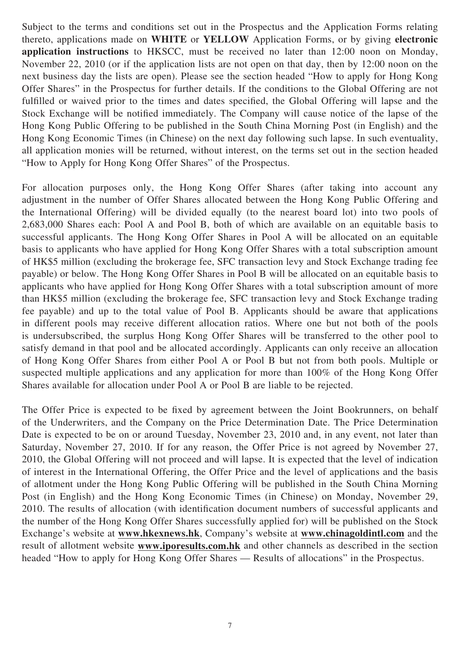Subject to the terms and conditions set out in the Prospectus and the Application Forms relating thereto, applications made on **WHITE** or **YELLOW** Application Forms, or by giving **electronic application instructions** to HKSCC, must be received no later than 12:00 noon on Monday, November 22, 2010 (or if the application lists are not open on that day, then by 12:00 noon on the next business day the lists are open). Please see the section headed "How to apply for Hong Kong Offer Shares" in the Prospectus for further details. If the conditions to the Global Offering are not fulfilled or waived prior to the times and dates specified, the Global Offering will lapse and the Stock Exchange will be notified immediately. The Company will cause notice of the lapse of the Hong Kong Public Offering to be published in the South China Morning Post (in English) and the Hong Kong Economic Times (in Chinese) on the next day following such lapse. In such eventuality, all application monies will be returned, without interest, on the terms set out in the section headed "How to Apply for Hong Kong Offer Shares" of the Prospectus.

For allocation purposes only, the Hong Kong Offer Shares (after taking into account any adjustment in the number of Offer Shares allocated between the Hong Kong Public Offering and the International Offering) will be divided equally (to the nearest board lot) into two pools of 2,683,000 Shares each: Pool A and Pool B, both of which are available on an equitable basis to successful applicants. The Hong Kong Offer Shares in Pool A will be allocated on an equitable basis to applicants who have applied for Hong Kong Offer Shares with a total subscription amount of HK\$5 million (excluding the brokerage fee, SFC transaction levy and Stock Exchange trading fee payable) or below. The Hong Kong Offer Shares in Pool B will be allocated on an equitable basis to applicants who have applied for Hong Kong Offer Shares with a total subscription amount of more than HK\$5 million (excluding the brokerage fee, SFC transaction levy and Stock Exchange trading fee payable) and up to the total value of Pool B. Applicants should be aware that applications in different pools may receive different allocation ratios. Where one but not both of the pools is undersubscribed, the surplus Hong Kong Offer Shares will be transferred to the other pool to satisfy demand in that pool and be allocated accordingly. Applicants can only receive an allocation of Hong Kong Offer Shares from either Pool A or Pool B but not from both pools. Multiple or suspected multiple applications and any application for more than 100% of the Hong Kong Offer Shares available for allocation under Pool A or Pool B are liable to be rejected.

The Offer Price is expected to be fixed by agreement between the Joint Bookrunners, on behalf of the Underwriters, and the Company on the Price Determination Date. The Price Determination Date is expected to be on or around Tuesday, November 23, 2010 and, in any event, not later than Saturday, November 27, 2010. If for any reason, the Offer Price is not agreed by November 27, 2010, the Global Offering will not proceed and will lapse. It is expected that the level of indication of interest in the International Offering, the Offer Price and the level of applications and the basis of allotment under the Hong Kong Public Offering will be published in the South China Morning Post (in English) and the Hong Kong Economic Times (in Chinese) on Monday, November 29, 2010. The results of allocation (with identification document numbers of successful applicants and the number of the Hong Kong Offer Shares successfully applied for) will be published on the Stock Exchange's website at **www.hkexnews.hk**, Company's website at **www.chinagoldintl.com** and the result of allotment website **www.iporesults.com.hk** and other channels as described in the section headed "How to apply for Hong Kong Offer Shares — Results of allocations" in the Prospectus.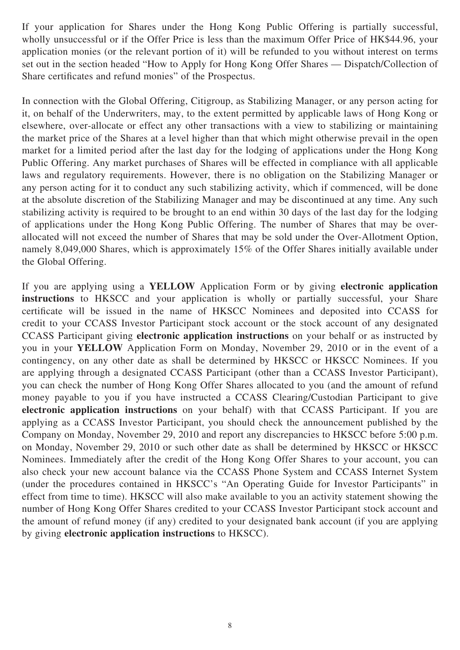If your application for Shares under the Hong Kong Public Offering is partially successful, wholly unsuccessful or if the Offer Price is less than the maximum Offer Price of HK\$44.96, your application monies (or the relevant portion of it) will be refunded to you without interest on terms set out in the section headed "How to Apply for Hong Kong Offer Shares — Dispatch/Collection of Share certificates and refund monies" of the Prospectus.

In connection with the Global Offering, Citigroup, as Stabilizing Manager, or any person acting for it, on behalf of the Underwriters, may, to the extent permitted by applicable laws of Hong Kong or elsewhere, over-allocate or effect any other transactions with a view to stabilizing or maintaining the market price of the Shares at a level higher than that which might otherwise prevail in the open market for a limited period after the last day for the lodging of applications under the Hong Kong Public Offering. Any market purchases of Shares will be effected in compliance with all applicable laws and regulatory requirements. However, there is no obligation on the Stabilizing Manager or any person acting for it to conduct any such stabilizing activity, which if commenced, will be done at the absolute discretion of the Stabilizing Manager and may be discontinued at any time. Any such stabilizing activity is required to be brought to an end within 30 days of the last day for the lodging of applications under the Hong Kong Public Offering. The number of Shares that may be overallocated will not exceed the number of Shares that may be sold under the Over-Allotment Option, namely 8,049,000 Shares, which is approximately 15% of the Offer Shares initially available under the Global Offering.

If you are applying using a **YELLOW** Application Form or by giving **electronic application instructions** to HKSCC and your application is wholly or partially successful, your Share certificate will be issued in the name of HKSCC Nominees and deposited into CCASS for credit to your CCASS Investor Participant stock account or the stock account of any designated CCASS Participant giving **electronic application instructions** on your behalf or as instructed by you in your **YELLOW** Application Form on Monday, November 29, 2010 or in the event of a contingency, on any other date as shall be determined by HKSCC or HKSCC Nominees. If you are applying through a designated CCASS Participant (other than a CCASS Investor Participant), you can check the number of Hong Kong Offer Shares allocated to you (and the amount of refund money payable to you if you have instructed a CCASS Clearing/Custodian Participant to give **electronic application instructions** on your behalf) with that CCASS Participant. If you are applying as a CCASS Investor Participant, you should check the announcement published by the Company on Monday, November 29, 2010 and report any discrepancies to HKSCC before 5:00 p.m. on Monday, November 29, 2010 or such other date as shall be determined by HKSCC or HKSCC Nominees. Immediately after the credit of the Hong Kong Offer Shares to your account, you can also check your new account balance via the CCASS Phone System and CCASS Internet System (under the procedures contained in HKSCC's "An Operating Guide for Investor Participants" in effect from time to time). HKSCC will also make available to you an activity statement showing the number of Hong Kong Offer Shares credited to your CCASS Investor Participant stock account and the amount of refund money (if any) credited to your designated bank account (if you are applying by giving **electronic application instructions** to HKSCC).